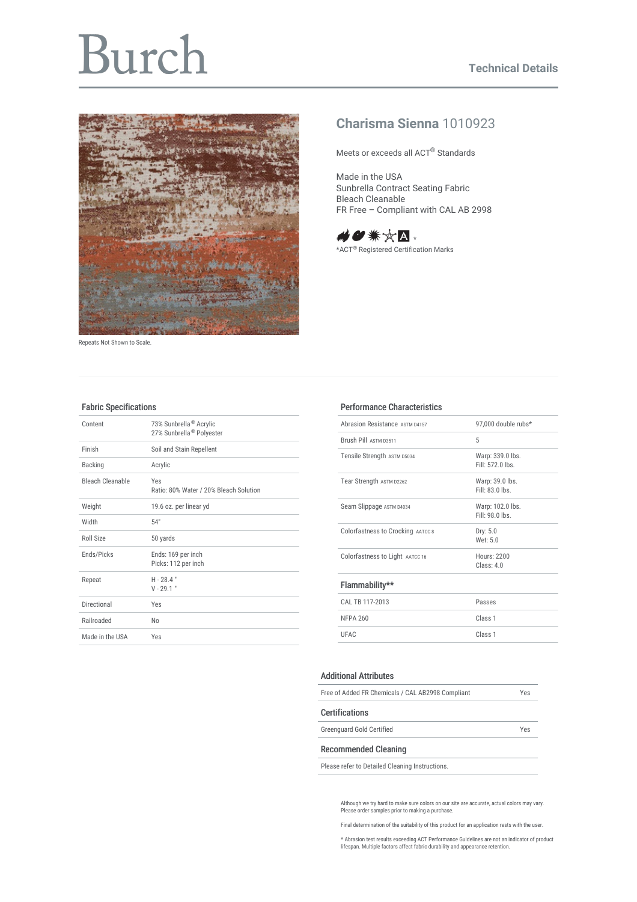# Burch



Repeats Not Shown to Scale.

## **Charisma Sienna** 1010923

Meets or exceeds all ACT® Standards

Made in the USA Sunbrella Contract Seating Fabric Bleach Cleanable FR Free – Compliant with CAL AB 2998



\*ACT<sup>®</sup> Registered Certification Marks

#### Fabric Specifications

| Content                 | 73% Sunbrella <sup>®</sup> Acrylic<br>27% Sunbrella <sup>®</sup> Polyester |
|-------------------------|----------------------------------------------------------------------------|
| Finish                  | Soil and Stain Repellent                                                   |
| <b>Backing</b>          | Acrylic                                                                    |
| <b>Bleach Cleanable</b> | Yes<br>Ratio: 80% Water / 20% Bleach Solution                              |
| Weight                  | 19.6 oz. per linear yd                                                     |
| Width                   | 54"                                                                        |
| Roll Size               | 50 yards                                                                   |
| Ends/Picks              | Ends: 169 per inch<br>Picks: 112 per inch                                  |
| Repeat                  | $H - 28.4"$<br>$V - 29.1$ "                                                |
| Directional             | Yes                                                                        |
| Railroaded              | N <sub>0</sub>                                                             |
| Made in the USA         | Yes                                                                        |

### Performance Characteristics

| Abrasion Resistance ASTM D4157    | 97,000 double rubs*                  |  |  |
|-----------------------------------|--------------------------------------|--|--|
| <b>Brush Pill ASTM 03511</b>      | 5                                    |  |  |
| Tensile Strength ASTM D5034       | Warp: 339.0 lbs.<br>Fill: $5720$ lbs |  |  |
| Tear Strength ASTM D2262          | Warp: 39.0 lbs.<br>$Fill: 83.0$ lhs  |  |  |
| Seam Slippage ASTM D4034          | Warp: 102.0 lbs.<br>Fill: 98.0 lbs.  |  |  |
| Colorfastness to Crocking AATCC 8 | Dry: 5.0<br>Wet: 5.0                 |  |  |
| Colorfastness to Light AATCC 16   | Hours: 2200<br>Class: 40             |  |  |
| Flammability**                    |                                      |  |  |
| CAL TB 117-2013                   | Passes                               |  |  |
| <b>NFPA 260</b>                   | Class <sub>1</sub>                   |  |  |
| LIFAC                             | Class <sub>1</sub>                   |  |  |
|                                   |                                      |  |  |

#### Additional Attributes

| Free of Added FR Chemicals / CAL AB2998 Compliant |     |
|---------------------------------------------------|-----|
| <b>Certifications</b>                             |     |
| <b>Greenquard Gold Certified</b>                  | Yes |
| <b>Recommended Cleaning</b>                       |     |

Please refer to Detailed Cleaning Instructions.

Although we try hard to make sure colors on our site are accurate, actual colors may vary. Please order samples prior to making a purchase.

Final determination of the suitability of this product for an application rests with the user.

\* Abrasion test results exceeding ACT Performance Guidelines are not an indicator of product lifespan. Multiple factors affect fabric durability and appearance retention.